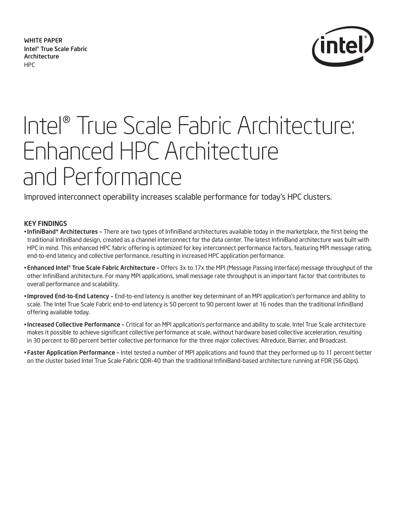WHiTe PAPeR intel® True scale Fabric Architecture HPC



# Intel® True Scale Fabric Architecture: Enhanced HPC Architecture and Performance

Improved interconnect operability increases scalable performance for today's HPC clusters.

# Key Findings

- infiniBand\* Architectures There are two types of InfiniBand architectures available today in the marketplace, the first being the traditional InfiniBand design, created as a channel interconnect for the data center. The latest InfiniBand architecture was built with HPC in mind. This enhanced HPC fabric offering is optimized for key interconnect performance factors, featuring MPI message rating, end-to-end latency and collective performance, resulting in increased HPC application performance.
- **Enhanced Intel® True Scale Fabric Architecture -** Offers 3x to 17x the MPI (Message Passing Interface) message throughput of the other InfiniBand architecture. For many MPI applications, small message rate throughput is an important factor that contributes to overall performance and scalability.
- improved end-to-end Latency End-to-end latency is another key determinant of an MPI application's performance and ability to scale. The Intel True Scale Fabric end-to-end latency is 50 percent to 90 percent lower at 16 nodes than the traditional InfiniBand offering available today.
- increased Collective Performance Critical for an MPI application's performance and ability to scale. Intel True Scale architecture makes it possible to achieve significant collective performance at scale, without hardware based collective acceleration, resulting in 30 percent to 80 percent better collective performance for the three major collectives: Allreduce, Barrier, and Broadcast.
- Faster Application Performance Intel tested a number of MPI applications and found that they performed up to 11 percent better on the cluster based Intel True Scale Fabric QDR-40 than the traditional InfiniBand-based architecture running at FDR (56 Gbps).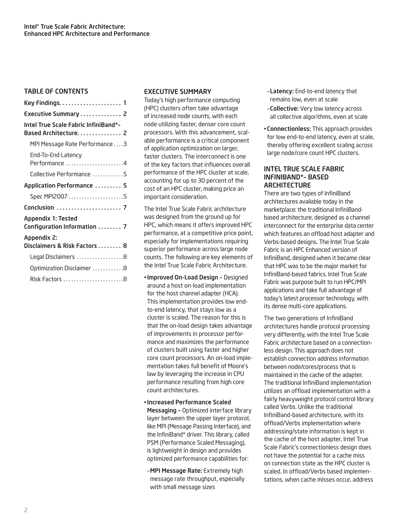## TABLe OF COnTenTs

| Executive Summary  2                                         |
|--------------------------------------------------------------|
| Intel True Scale Fabric InfiniBand*-<br>Based Architecture 2 |
| MPI Message Rate Performance3                                |
| End-To-End Latency<br>Performance 4                          |
| Collective Performance 5                                     |
| Application Performance  5                                   |
| Spec MPI2007 5                                               |
|                                                              |
| Appendix 1: Tested<br>Configuration Information  7           |
| Appendix 2:<br>Disclaimers & Risk Factors  8                 |
| Legal Disclaimers 8                                          |
| Optimization Disclaimer 8                                    |
|                                                              |

#### exeCuTive summARy

Today's high performance computing (HPC) clusters often take advantage of increased node counts, with each node utilizing faster, denser core count processors. With this advancement, scalable performance is a critical component of application optimization on larger, faster clusters. The interconnect is one of the key factors that influences overall performance of the HPC cluster at scale, accounting for up to 30 percent of the cost of an HPC cluster, making price an important consideration.

The Intel True Scale Fabric architecture was designed from the ground up for HPC, which means it offers improved HPC performance, at a competitive price point, especially for implementations requiring superior performance across large node counts. The following are key elements of the Intel True Scale Fabric Architecture.

- · Improved On-Load Design Designed around a host on-load implementation for the host channel adapter (HCA). This implementation provides low endto-end latency, that stays low as a cluster is scaled. The reason for this is that the on-load design takes advantage of improvements in processor performance and maximizes the performance of clusters built using faster and higher core count processors. An on-load implementation takes full benefit of Moore's law by leveraging the increase in CPU performance resulting from high core count architectures.
- increased Performance scaled Messaging - Optimized interface library layer between the upper layer protocol, like MPI (Message Passing Interface), and the InfiniBand\* driver. This library, called PSM (Performance Scaled Messaging), is lightweight in design and provides optimized performance capabilities for:
- -MPI Message Rate: Extremely high message rate throughput, especially with small message sizes
- –Latency: End-to-end latency that remains low, even at scale
- –Collective: Very low latency across all collective algorithms, even at scale
- Connectionless: This approach provides for low end-to-end latency, even at scale, thereby offering excellent scaling across large node/core count HPC clusters.

#### inTeL TRue sCALe FABRiC inFiniBAnd\*– BAsed **ARCHITECTURE**

There are two types of InfiniBand architectures available today in the marketplace: the traditional InfiniBandbased architecture, designed as a channel interconnect for the enterprise data center which features an offload host adapter and Verbs-based designs. The Intel True Scale Fabric is an HPC Enhanced version of InfiniBand, designed when it became clear that HPC was to be the major market for InfiniBand-based fabrics. Intel True Scale Fabric was purpose built to run HPC/MPI applications and take full advantage of today's latest processor technology, with its dense multi-core applications.

The two generations of InfiniBand architectures handle protocol processing very differently, with the Intel True Scale Fabric architecture based on a connectionless design. This approach does not establish connection address information between node/cores/process that is maintained in the cache of the adapter. The traditional InfiniBand implementation utilizes an offload implementation with a fairly heavyweight protocol control library called Verbs. Unlike the traditional InfiniBand-based architecture, with its offload/Verbs implementation where addressing/state information is kept in the cache of the host adapter, Intel True Scale Fabric's connectionless design does not have the potential for a cache miss on connection state as the HPC cluster is scaled. In offload/Verbs based implementations, when cache misses occur, address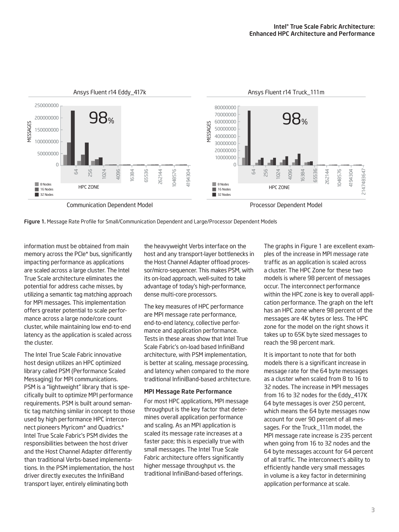

Figure 1. Message Rate Profile for Small/Communication Dependent and Large/Processor Dependent Models

information must be obtained from main memory across the PCle\* bus, significantly impacting performance as applications are scaled across a large cluster. The Intel True Scale architecture eliminates the potential for address cache misses, by utilizing a semantic tag matching approach for MPI messages. This implementation offers greater potential to scale performance across a large node/core count cluster, while maintaining low end-to-end latency as the application is scaled across the cluster.

The Intel True Scale Fabric innovative host design utilizes an HPC optimized library called PSM (Performance Scaled Messaging) for MPI communications. PSM is a "lightweight" library that is specifically built to optimize MPI performance requirements. PSM is built around semantic tag matching similar in concept to those used by high performance HPC interconnect pioneers Myricom\* and Quadrics.\* Intel True Scale Fabric's PSM divides the responsibilities between the host driver and the Host Channel Adapter differently than traditional Verbs-based implementations. In the PSM implementation, the host driver directly executes the InfiniBand transport layer, entirely eliminating both

the heavyweight Verbs interface on the host and any transport-layer bottlenecks in the Host Channel Adapter offload processor/micro-sequencer. This makes PSM, with its on-load approach, well-suited to take advantage of today's high-performance, dense multi-core processors.

The key measures of HPC performance are MPI message rate performance, end-to-end latency, collective performance and application performance. Tests in these areas show that Intel True Scale Fabric's on-load based InfiniBand architecture, with PSM implementation, is better at scaling, message processing, and latency when compared to the more traditional InfiniBand-based architecture.

#### mPi message Rate Performance

For most HPC applications, MPI message throughput is the key factor that determines overall application performance and scaling. As an MPI application is scaled its message rate increases at a faster pace; this is especially true with small messages. The Intel True Scale Fabric architecture offers significantly higher message throughput vs. the traditional InfiniBand-based offerings.

The graphs in Figure 1 are excellent examples of the increase in MPI message rate traffic as an application is scaled across a cluster. The HPC Zone for these two models is where 98 percent of messages occur. The interconnect performance within the HPC zone is key to overall application performance. The graph on the left has an HPC zone where 98 percent of the messages are 4K bytes or less. The HPC zone for the model on the right shows it takes up to 65K byte sized messages to reach the 98 percent mark.

It is important to note that for both models there is a significant increase in message rate for the 64 byte messages as a cluster when scaled from 8 to 16 to 32 nodes. The increase in MPI messages from 16 to 32 nodes for the Eddy\_417K 64 byte messages is over 250 percent, which means the 64 byte messages now account for over 90 percent of all messages. For the Truck\_111m model, the MPI message rate increase is 235 percent when going from 16 to 32 nodes and the 64 byte messages account for 64 percent of all traffic. The interconnect's ability to efficiently handle very small messages in volume is a key factor in determining application performance at scale.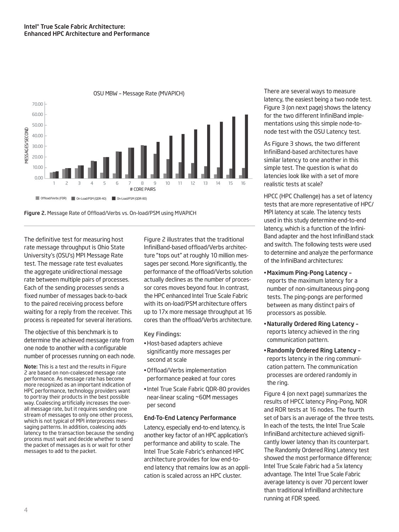

0SU MBW - Message Rate (MVAPICH)



The definitive test for measuring host rate message throughput is Ohio State University's (OSU's) MPI Message Rate test. The message rate test evaluates the aggregate unidirectional message rate between multiple pairs of processes. Each of the sending processes sends a fixed number of messages back-to-back to the paired receiving process before waiting for a reply from the receiver. This process is repeated for several iterations.

The objective of this benchmark is to determine the achieved message rate from one node to another with a configurable number of processes running on each node.

Note: This is a test and the results in Figure 2 are based on non-coalesced message rate performance. As message rate has become more recognized as an important indication of HPC performance, technology providers want to portray their products in the best possible way. Coalescing artificially increases the overall message rate, but it requires sending one stream of messages to only one other process, which is not typical of MPI interprocess messaging patterns. In addition, coalescing adds latency to the transaction because the sending process must wait and decide whether to send the packet of messages as is or wait for other messages to add to the packet.

Figure 2 illustrates that the traditional InfiniBand-based offload/Verbs architecture "tops out" at roughly 10 million messages per second. More significantly, the performance of the offload/Verbs solution actually declines as the number of processor cores moves beyond four. In contrast, the HPC enhanced Intel True Scale Fabric with its on-load/PSM architecture offers up to 17x more message throughput at 16 cores than the offload/Verbs architecture.

Key Findings:

- · Host-based adapters achieve significantly more messages per second at scale
- Offload/Verbs implementation performance peaked at four cores
- Intel True Scale Fabric QDR-80 provides near-linear scaling ~60M messages per second

#### end-To-end Latency Performance

Latency, especially end-to-end latency, is another key factor of an HPC application's performance and ability to scale. The Intel True Scale Fabric's enhanced HPC architecture provides for low end-toend latency that remains low as an application is scaled across an HPC cluster.

There are several ways to measure latency, the easiest being a two node test. Figure 3 (on next page) shows the latency for the two different InfiniBand implementations using this simple node-tonode test with the OSU Latency test.

As Figure 3 shows, the two different InfiniBand-based architectures have similar latency to one another in this simple test. The question is what do latencies look like with a set of more realistic tests at scale?

HPCC (HPC Challenge) has a set of latency tests that are more representative of HPC/ MPI latency at scale. The latency tests used in this study determine end-to-end latency, which is a function of the Infini-Band adapter and the host InfiniBand stack and switch. The following tests were used to determine and analyze the performance of the InfiniBand architectures:

- maximum Ping-Pong Latency reports the maximum latency for a number of non-simultaneous ping-pong tests. The ping-pongs are performed between as many distinct pairs of processors as possible.
- naturally Ordered Ring Latency reports latency achieved in the ring communication pattern.
- Randomly Ordered Ring Latency reports latency in the ring communication pattern. The communication processes are ordered randomly in the ring.

Figure 4 (on next page) summarizes the results of HPCC latency Ping-Pong, NOR and ROR tests at 16 nodes. The fourth set of bars is an average of the three tests. In each of the tests, the Intel True Scale InfiniBand architecture achieved significantly lower latency than its counterpart. The Randomly Ordered Ring Latency test showed the most performance difference; Intel True Scale Fabric had a 5x latency advantage. The Intel True Scale Fabric average latency is over 70 percent lower than traditional InfiniBand architecture running at FDR speed.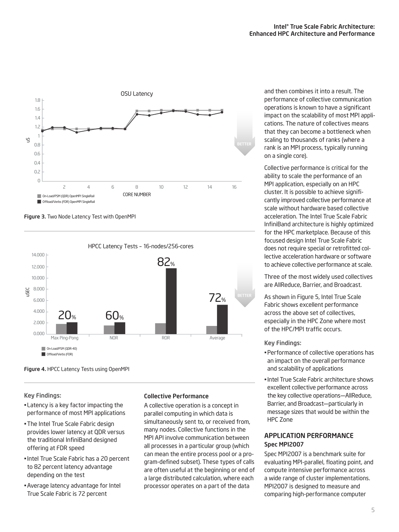

Figure 3. Two Node Latency Test with OpenMPI



Figure 4. HPCC Latency Tests using OpenMPI

Key Findings:

- Latency is a key factor impacting the performance of most MPI applications
- The Intel True Scale Fabric design provides lower latency at QDR versus the traditional InfiniBand designed offering at FDR speed
- Intel True Scale Fabric has a 20 percent to 82 percent latency advantage depending on the test
- . Average latency advantage for Intel True Scale Fabric is 72 percent

## Collective Performance

A collective operation is a concept in parallel computing in which data is simultaneously sent to, or received from, many nodes. Collective functions in the MPI API involve communication between all processes in a particular group (which can mean the entire process pool or a program-defined subset). These types of calls are often useful at the beginning or end of a large distributed calculation, where each processor operates on a part of the data

and then combines it into a result. The performance of collective communication operations is known to have a significant impact on the scalability of most MPI applications. The nature of collectives means that they can become a bottleneck when scaling to thousands of ranks (where a rank is an MPI process, typically running on a single core).

Collective performance is critical for the ability to scale the performance of an MPI application, especially on an HPC cluster. It is possible to achieve significantly improved collective performance at scale without hardware based collective acceleration. The Intel True Scale Fabric InfiniBand architecture is highly optimized for the HPC marketplace. Because of this focused design Intel True Scale Fabric does not require special or retrofitted collective acceleration hardware or software to achieve collective performance at scale.

Three of the most widely used collectives are AllReduce, Barrier, and Broadcast.

As shown in Figure 5, Intel True Scale Fabric shows excellent performance across the above set of collectives, especially in the HPC Zone where most of the HPC/MPI traffic occurs.

## Key Findings:

- Performance of collective operations has an impact on the overall performance and scalability of applications
- . Intel True Scale Fabric architecture shows excellent collective performance across the key collective operations—AllReduce, Barrier, and Broadcast—particularly in message sizes that would be within the HPC Zone

# APPLiCATiOn PeRFORmAnCe spec mPi2007

Spec MPI2007 is a benchmark suite for evaluating MPI-parallel, floating point, and compute intensive performance across a wide range of cluster implementations. MPI2007 is designed to measure and comparing high-performance computer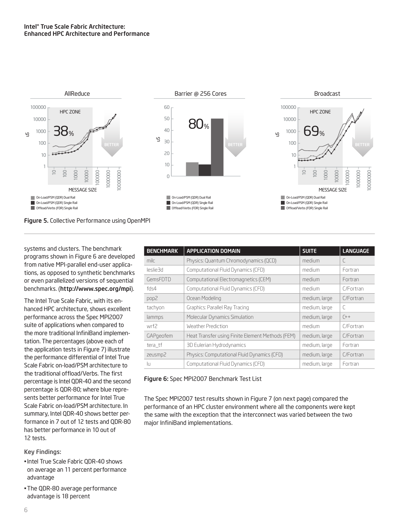

systems and clusters. The benchmark programs shown in Figure 6 are developed from native MPI-parallel end-user applications, as opposed to synthetic benchmarks or even parallelized versions of sequential benchmarks. (http://www.spec.org/mpi).

The Intel True Scale Fabric, with its enhanced HPC architecture, shows excellent performance across the Spec MPI2007 suite of applications when compared to the more traditional InfiniBand implementation. The percentages (above each of the application tests in Figure 7) illustrate the performance differential of Intel True Scale Fabric on-load/PSM architecture to the traditional offload/Verbs. The first percentage is Intel QDR-40 and the second percentage is QDR-80; where blue represents better performance for Intel True Scale Fabric on-load/PSM architecture. In summary, Intel QDR-40 shows better performance in 7 out of 12 tests and QDR-80 has better performance in 10 out of 12 tests.

Key Findings:

- . Intel True Scale Fabric ODR-40 shows on average an 11 percent performance advantage
- The QDR-80 average performance advantage is 18 percent

| <b>BENCHMARK</b> | <b>APPLICATION DOMAIN</b>                        | <b>SUITE</b>  | <b>LANGUAGE</b> |
|------------------|--------------------------------------------------|---------------|-----------------|
| milc             | Physics: Quantum Chromodynamics (QCD)            | medium        | C               |
| leslie3d         | Computational Fluid Dynamics (CFD)               | medium        | Fortran         |
| GemsFDTD         | Computational Electromagnetics (CEM)             | medium        | Fortran         |
| fds $4$          | Computational Fluid Dynamics (CFD)               | medium        | C/Fortran       |
| pop2             | Ocean Modeling                                   | medium, large | C/Fortran       |
| tachyon          | Graphics: Parallel Ray Tracing                   | medium, large | $\subset$       |
| lammps           | Molecular Dynamics Simulation                    | medium, large | $(+)$           |
| wrf2             | Weather Prediction                               | medium        | C/Fortran       |
| GAPgeofem        | Heat Transfer using Finite Element Methods (FEM) | medium, large | C/Fortran       |
| tera tf          | 3D Eulerian Hydrodynamics                        | medium, large | Fortran         |
| zeusmp2          | Physics: Computational Fluid Dynamics (CFD)      | medium, large | C/Fortran       |
| Īи               | Computational Fluid Dynamics (CFD)               | medium, large | Fortran         |

## Figure 6: Spec MPI2007 Benchmark Test List

The Spec MPI2007 test results shown in Figure 7 (on next page) compared the performance of an HPC cluster environment where all the components were kept the same with the exception that the interconnect was varied between the two major InfiniBand implementations.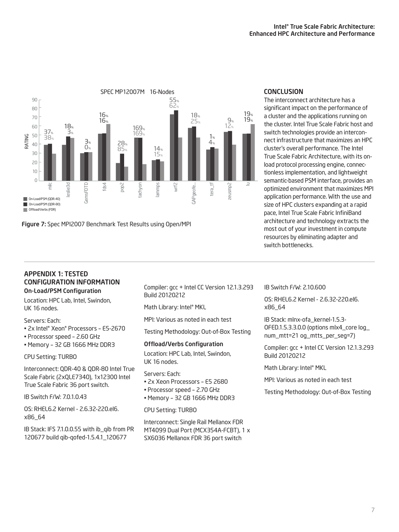

Figure 7: Spec MPI2007 Benchmark Test Results using Open/MPI

# **CONCLUSION**

The interconnect architecture has a significant impact on the performance of a cluster and the applications running on the cluster. Intel True Scale Fabric host and switch technologies provide an interconnect infrastructure that maximizes an HPC cluster's overall performance. The Intel True Scale Fabric Architecture, with its onload protocol processing engine, connectionless implementation, and lightweight semantic-based PSM interface, provides an optimized environment that maximizes MPI application performance. With the use and size of HPC clusters expanding at a rapid pace, Intel True Scale Fabric InfiniBand architecture and technology extracts the most out of your investment in compute resources by eliminating adapter and switch bottlenecks.

#### APPendix 1: TesTed COnFiguRATiOn inFORmATiOn On-Load/Psm Configuration

Location: HPC Lab, Intel, Swindon, UK 16 nodes.

## Servers: Each:

- " 2x Intel® Xeon® Processors E5-2670
- Processor speed 2.60 GHz
- $\bullet$  Memory 32 GB 1666 MHz DDR3

## CPU Setting: TURBO

Interconnect: QDR-40 & QDR-80 Intel True Scale Fabric (2xQLE7340), 1x12300 Intel True Scale Fabric 36 port switch.

IB Switch F/W: 7.0.1.0.43

OS: RHEL6.2 Kernel - 2.6.32-220.el6. x86\_64

IB Stack: IFS 7.1.0.0.55 with ib\_qib from PR 120677 build qib-qofed-1.5.4.1\_120677

Compiler: gcc + Intel CC Version 12.1.3.293 Build 20120212

Math Library: Intel® MKL

MPI: Various as noted in each test

Testing Methodology: Out-of-Box Testing

## Offload/verbs Configuration

Location: HPC Lab, Intel, Swindon, UK 16 nodes.

Servers: Each:

- " 2x Xeon Processors E5 2680
- Processor speed 2.70 GHz
- $\bullet$  Memory 32 GB 1666 MHz DDR3

CPU Setting: TURBO

Interconnect: Single Rail Mellanox FDR MT4099 Dual Port (MCX354A-FCBT), 1 x SX6036 Mellanox FDR 36 port switch

# IB Switch F/W: 2.10.600

OS: RHEL6.2 Kernel - 2.6.32-220.el6. x86\_64

IB Stack: mlnx-ofa\_kernel-1.5.3- OFED.1.5.3.3.0.0 (options mlx4\_core log\_ num\_mtt=21 og\_mtts\_per\_seg=7)

Compiler: gcc + Intel CC Version 12.1.3.293 Build 20120212

Math Library: Intel<sup>®</sup> MKL

MPI: Various as noted in each test

Testing Methodology: Out-of-Box Testing